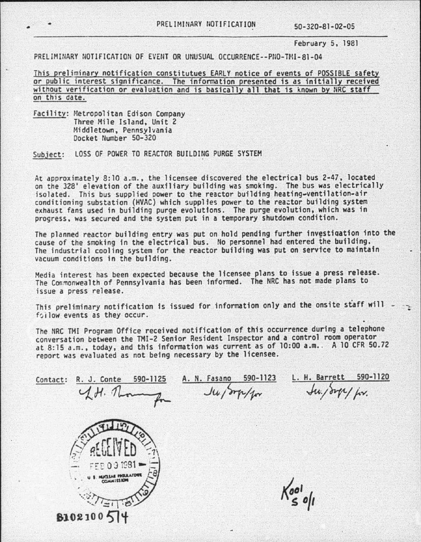February 5, 1981

PRELIMINARY NOTIFICATION OF EVENT OR UNUSUAL OCCURRENCE--PNO-TMI-81-04

This preliminary notification constitutues EARLY notice of events of POSSIBLE safety or public interest significance. The information presented is as initially received without verification or evaluation and is basically all that is known by NRC staff on this date.

Facility: Metropolitan Edison Company<br>Three Mile Island, Unit 2 Middletown, Pennsylvania<br>Docket Number 50-320

Subject: LOSS OF POWER TO REACTOR BUILDING PURGE SYSTEM

At approximately 8:10 a.m., the licensee discovered the electrical bus 2-47, located<br>on the 328' elevation of the auxiliary building was smoking. The bus was electrically isolated. This bus supplied power to the reactor building heating-ventilation-air<br>conditioning substation (HVAC) which supplies power to the reactor building system<br>exhaust fans used in building purge evolutions. The purge progress, was secured and the system put in a temporary shutdown condition.

The planned reactor building entry was put on hold pending further investigation into the<br>cause of the smoking in the electrical bus. No personnel had entered the building. The industrial cooling system for the reactor building was put on service to maintain vacuum conditions in the building.

Media interest has been expected because the licensee plans to issue a press release. The Commonwealth of Pennsylvania has been informed. The NRC has not made plans to issue a press release.

This preliminary notification is issued for information only and the onsite staff will  $\rightarrow$ 

The NRC TMI Program Office received notification of this occurrence during a telephone conversation between the TMI-2 Senior Resident Inspector and a control room operator at 8:15 a.m., today, and this information was current as of 10:00 a.m.. A 10 CFR 50.72 report was evaluated as not being necessary by the licensee.

A. N. Fasano 590-1123



Contact: R. J. Conte 590-1125

L. H. Barrett 590-1120

 $x^2$ ,  $y^2$ ,  $y^2$ ,  $y^2$ ,  $y^2$ ,  $y^2$ ,  $y^2$ ,  $y^2$ ,  $y^2$ ,  $y^2$ ,  $y^2$ ,  $y^2$ ,  $y^2$ ,  $y^2$ ,  $y^2$ ,  $y^2$ ,  $y^2$ ,  $y^2$ ,  $y^2$ ,  $y^2$ ,  $y^2$ ,  $y^2$ ,  $y^2$ ,  $y^2$ ,  $y^2$ ,  $y^2$ ,  $y^2$ ,  $y^2$ ,  $y^2$ ,  $y^2$ ,  $y^2$ ,  $y^2$